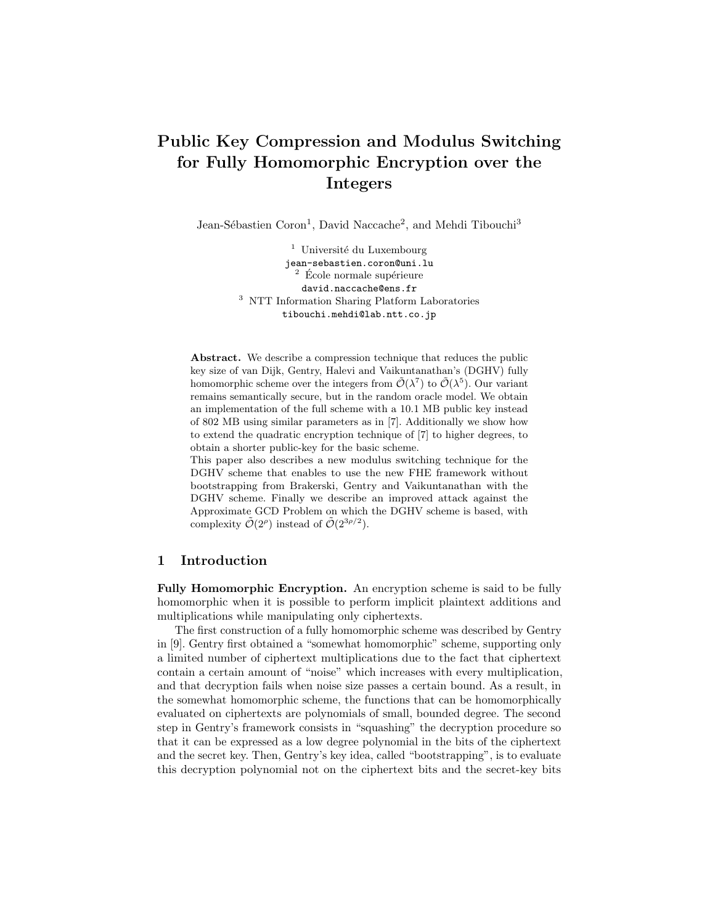# Public Key Compression and Modulus Switching for Fully Homomorphic Encryption over the Integers

Jean-Sébastien Coron<sup>1</sup>, David Naccache<sup>2</sup>, and Mehdi Tibouchi<sup>3</sup>

 $1$  Université du Luxembourg jean-sebastien.coron@uni.lu  $2$  École normale supérieure david.naccache@ens.fr <sup>3</sup> NTT Information Sharing Platform Laboratories tibouchi.mehdi@lab.ntt.co.jp

Abstract. We describe a compression technique that reduces the public key size of van Dijk, Gentry, Halevi and Vaikuntanathan's (DGHV) fully homomorphic scheme over the integers from  $\tilde{\mathcal{O}}(\lambda^7)$  to  $\tilde{\mathcal{O}}(\lambda^5)$ . Our variant remains semantically secure, but in the random oracle model. We obtain an implementation of the full scheme with a 10.1 MB public key instead of 802 MB using similar parameters as in [7]. Additionally we show how to extend the quadratic encryption technique of [7] to higher degrees, to obtain a shorter public-key for the basic scheme.

This paper also describes a new modulus switching technique for the DGHV scheme that enables to use the new FHE framework without bootstrapping from Brakerski, Gentry and Vaikuntanathan with the DGHV scheme. Finally we describe an improved attack against the Approximate GCD Problem on which the DGHV scheme is based, with complexity  $\tilde{\mathcal{O}}(2^{\rho})$  instead of  $\tilde{\mathcal{O}}(2^{3\rho/2})$ .

# 1 Introduction

Fully Homomorphic Encryption. An encryption scheme is said to be fully homomorphic when it is possible to perform implicit plaintext additions and multiplications while manipulating only ciphertexts.

The first construction of a fully homomorphic scheme was described by Gentry in [9]. Gentry first obtained a "somewhat homomorphic" scheme, supporting only a limited number of ciphertext multiplications due to the fact that ciphertext contain a certain amount of "noise" which increases with every multiplication, and that decryption fails when noise size passes a certain bound. As a result, in the somewhat homomorphic scheme, the functions that can be homomorphically evaluated on ciphertexts are polynomials of small, bounded degree. The second step in Gentry's framework consists in "squashing" the decryption procedure so that it can be expressed as a low degree polynomial in the bits of the ciphertext and the secret key. Then, Gentry's key idea, called "bootstrapping", is to evaluate this decryption polynomial not on the ciphertext bits and the secret-key bits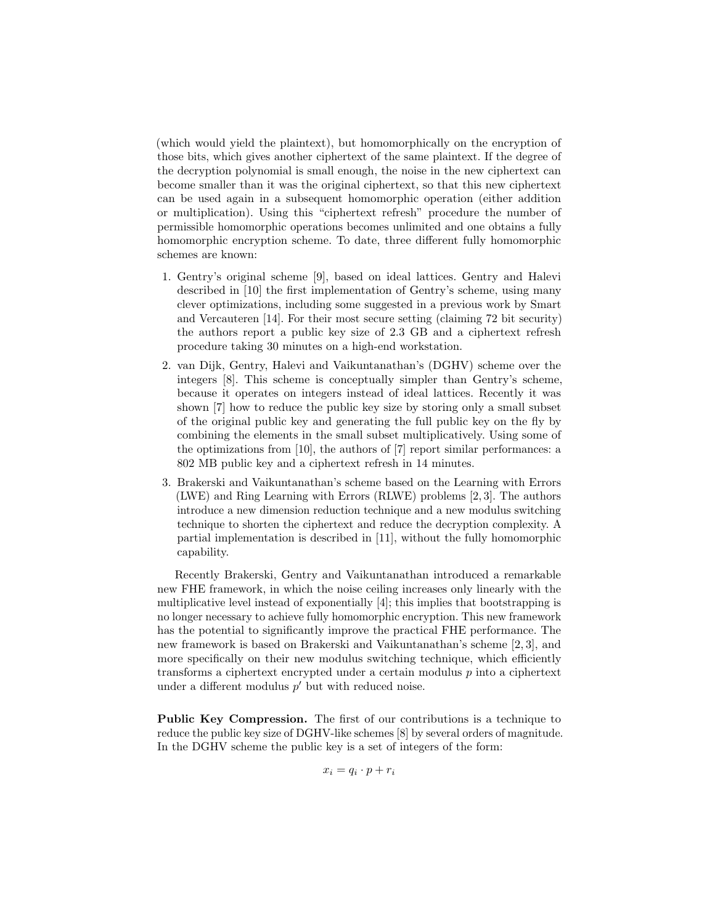(which would yield the plaintext), but homomorphically on the encryption of those bits, which gives another ciphertext of the same plaintext. If the degree of the decryption polynomial is small enough, the noise in the new ciphertext can become smaller than it was the original ciphertext, so that this new ciphertext can be used again in a subsequent homomorphic operation (either addition or multiplication). Using this "ciphertext refresh" procedure the number of permissible homomorphic operations becomes unlimited and one obtains a fully homomorphic encryption scheme. To date, three different fully homomorphic schemes are known:

- 1. Gentry's original scheme [9], based on ideal lattices. Gentry and Halevi described in [10] the first implementation of Gentry's scheme, using many clever optimizations, including some suggested in a previous work by Smart and Vercauteren [14]. For their most secure setting (claiming 72 bit security) the authors report a public key size of 2.3 GB and a ciphertext refresh procedure taking 30 minutes on a high-end workstation.
- 2. van Dijk, Gentry, Halevi and Vaikuntanathan's (DGHV) scheme over the integers [8]. This scheme is conceptually simpler than Gentry's scheme, because it operates on integers instead of ideal lattices. Recently it was shown [7] how to reduce the public key size by storing only a small subset of the original public key and generating the full public key on the fly by combining the elements in the small subset multiplicatively. Using some of the optimizations from [10], the authors of [7] report similar performances: a 802 MB public key and a ciphertext refresh in 14 minutes.
- 3. Brakerski and Vaikuntanathan's scheme based on the Learning with Errors (LWE) and Ring Learning with Errors (RLWE) problems [2, 3]. The authors introduce a new dimension reduction technique and a new modulus switching technique to shorten the ciphertext and reduce the decryption complexity. A partial implementation is described in [11], without the fully homomorphic capability.

Recently Brakerski, Gentry and Vaikuntanathan introduced a remarkable new FHE framework, in which the noise ceiling increases only linearly with the multiplicative level instead of exponentially [4]; this implies that bootstrapping is no longer necessary to achieve fully homomorphic encryption. This new framework has the potential to significantly improve the practical FHE performance. The new framework is based on Brakerski and Vaikuntanathan's scheme [2, 3], and more specifically on their new modulus switching technique, which efficiently transforms a ciphertext encrypted under a certain modulus  $p$  into a ciphertext under a different modulus  $p'$  but with reduced noise.

Public Key Compression. The first of our contributions is a technique to reduce the public key size of DGHV-like schemes [8] by several orders of magnitude. In the DGHV scheme the public key is a set of integers of the form:

$$
x_i = q_i \cdot p + r_i
$$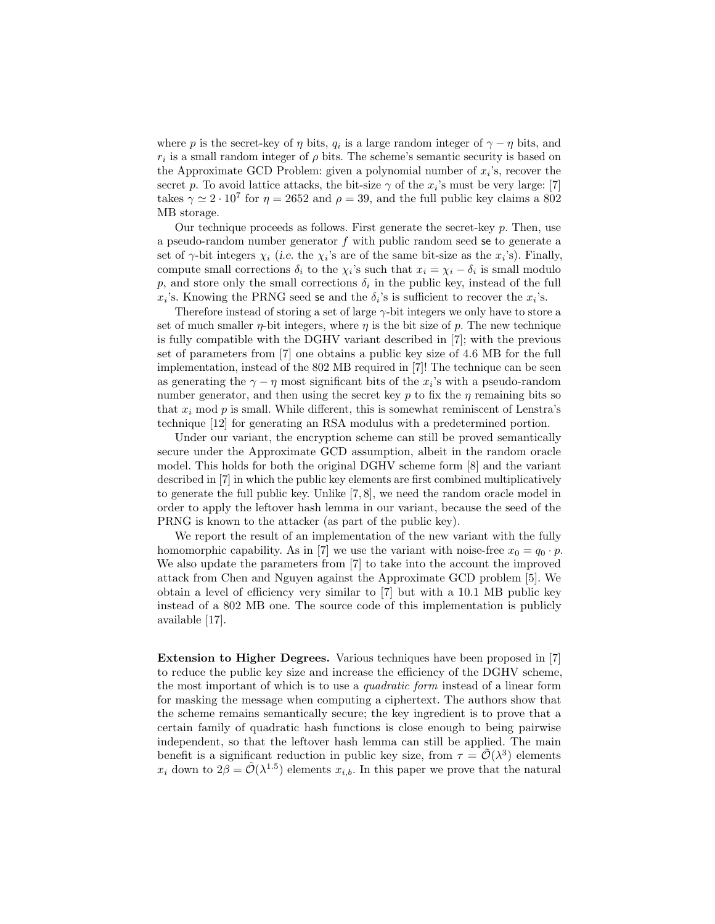where p is the secret-key of  $\eta$  bits,  $q_i$  is a large random integer of  $\gamma - \eta$  bits, and  $r_i$  is a small random integer of  $\rho$  bits. The scheme's semantic security is based on the Approximate GCD Problem: given a polynomial number of  $x_i$ 's, recover the secret p. To avoid lattice attacks, the bit-size  $\gamma$  of the  $x_i$ 's must be very large: [7] takes  $\gamma \simeq 2 \cdot 10^7$  for  $\eta = 2652$  and  $\rho = 39$ , and the full public key claims a 802 MB storage.

Our technique proceeds as follows. First generate the secret-key  $p$ . Then, use a pseudo-random number generator  $f$  with public random seed se to generate a set of  $\gamma$ -bit integers  $\chi_i$  (i.e. the  $\chi_i$ 's are of the same bit-size as the  $x_i$ 's). Finally, compute small corrections  $\delta_i$  to the  $\chi_i$ 's such that  $x_i = \chi_i - \delta_i$  is small modulo  $p$ , and store only the small corrections  $\delta_i$  in the public key, instead of the full  $x_i$ 's. Knowing the PRNG seed se and the  $\delta_i$ 's is sufficient to recover the  $x_i$ 's.

Therefore instead of storing a set of large  $\gamma$ -bit integers we only have to store a set of much smaller  $\eta$ -bit integers, where  $\eta$  is the bit size of  $p$ . The new technique is fully compatible with the DGHV variant described in [7]; with the previous set of parameters from [7] one obtains a public key size of 4.6 MB for the full implementation, instead of the 802 MB required in [7]! The technique can be seen as generating the  $\gamma - \eta$  most significant bits of the  $x_i$ 's with a pseudo-random number generator, and then using the secret key  $p$  to fix the  $\eta$  remaining bits so that  $x_i$  mod  $p$  is small. While different, this is somewhat reminiscent of Lenstra's technique [12] for generating an RSA modulus with a predetermined portion.

Under our variant, the encryption scheme can still be proved semantically secure under the Approximate GCD assumption, albeit in the random oracle model. This holds for both the original DGHV scheme form [8] and the variant described in [7] in which the public key elements are first combined multiplicatively to generate the full public key. Unlike [7, 8], we need the random oracle model in order to apply the leftover hash lemma in our variant, because the seed of the PRNG is known to the attacker (as part of the public key).

We report the result of an implementation of the new variant with the fully homomorphic capability. As in [7] we use the variant with noise-free  $x_0 = q_0 \cdot p$ . We also update the parameters from [7] to take into the account the improved attack from Chen and Nguyen against the Approximate GCD problem [5]. We obtain a level of efficiency very similar to [7] but with a 10.1 MB public key instead of a 802 MB one. The source code of this implementation is publicly available [17].

Extension to Higher Degrees. Various techniques have been proposed in [7] to reduce the public key size and increase the efficiency of the DGHV scheme, the most important of which is to use a quadratic form instead of a linear form for masking the message when computing a ciphertext. The authors show that the scheme remains semantically secure; the key ingredient is to prove that a certain family of quadratic hash functions is close enough to being pairwise independent, so that the leftover hash lemma can still be applied. The main benefit is a significant reduction in public key size, from  $\tau = \tilde{\mathcal{O}}(\lambda^3)$  elements  $x_i$  down to  $2\beta = \tilde{\mathcal{O}}(\lambda^{1.5})$  elements  $x_{i,b}$ . In this paper we prove that the natural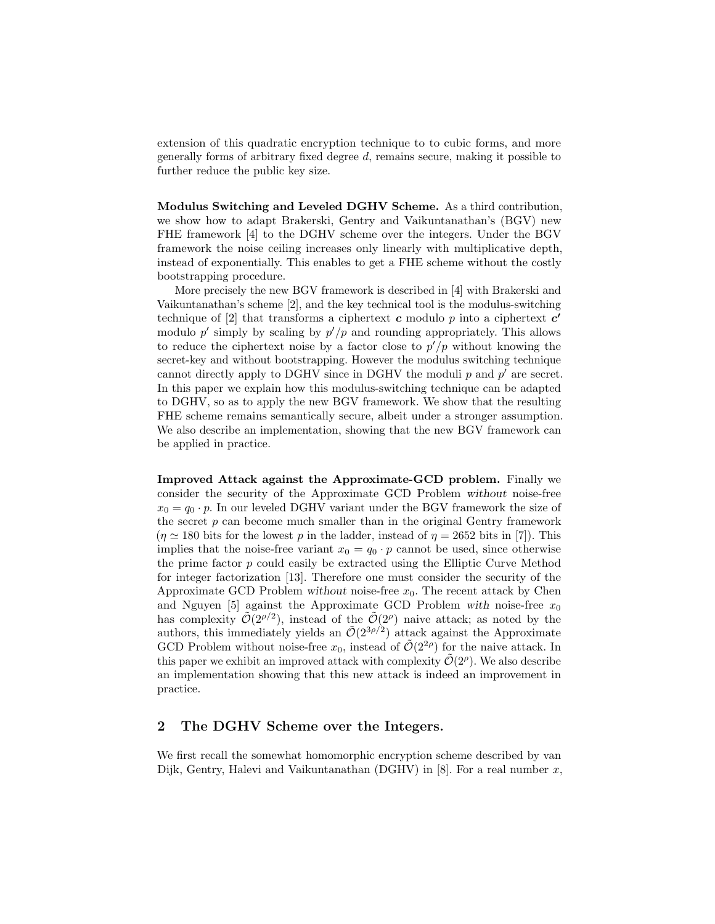extension of this quadratic encryption technique to to cubic forms, and more generally forms of arbitrary fixed degree d, remains secure, making it possible to further reduce the public key size.

Modulus Switching and Leveled DGHV Scheme. As a third contribution, we show how to adapt Brakerski, Gentry and Vaikuntanathan's (BGV) new FHE framework [4] to the DGHV scheme over the integers. Under the BGV framework the noise ceiling increases only linearly with multiplicative depth, instead of exponentially. This enables to get a FHE scheme without the costly bootstrapping procedure.

More precisely the new BGV framework is described in [4] with Brakerski and Vaikuntanathan's scheme [2], and the key technical tool is the modulus-switching technique of [2] that transforms a ciphertext  $c$  modulo  $p$  into a ciphertext  $c'$ modulo  $p'$  simply by scaling by  $p'/p$  and rounding appropriately. This allows to reduce the ciphertext noise by a factor close to  $p'/p$  without knowing the secret-key and without bootstrapping. However the modulus switching technique cannot directly apply to DGHV since in DGHV the moduli  $p$  and  $p'$  are secret. In this paper we explain how this modulus-switching technique can be adapted to DGHV, so as to apply the new BGV framework. We show that the resulting FHE scheme remains semantically secure, albeit under a stronger assumption. We also describe an implementation, showing that the new BGV framework can be applied in practice.

Improved Attack against the Approximate-GCD problem. Finally we consider the security of the Approximate GCD Problem without noise-free  $x_0 = q_0 \cdot p$ . In our leveled DGHV variant under the BGV framework the size of the secret  $p$  can become much smaller than in the original Gentry framework  $(\eta \simeq 180$  bits for the lowest p in the ladder, instead of  $\eta = 2652$  bits in [7]). This implies that the noise-free variant  $x_0 = q_0 \cdot p$  cannot be used, since otherwise the prime factor p could easily be extracted using the Elliptic Curve Method for integer factorization [13]. Therefore one must consider the security of the Approximate GCD Problem without noise-free  $x_0$ . The recent attack by Chen and Nguyen [5] against the Approximate GCD Problem with noise-free  $x_0$ has complexity  $\tilde{\mathcal{O}}(2^{\rho/2})$ , instead of the  $\tilde{\mathcal{O}}(2^{\rho})$  naive attack; as noted by the authors, this immediately yields an  $\tilde{\mathcal{O}}(2^{3\rho/2})$  attack against the Approximate GCD Problem without noise-free  $x_0$ , instead of  $\tilde{\mathcal{O}}(2^{2\rho})$  for the naive attack. In this paper we exhibit an improved attack with complexity  $\tilde{\mathcal{O}}(2^{\rho})$ . We also describe an implementation showing that this new attack is indeed an improvement in practice.

# 2 The DGHV Scheme over the Integers.

We first recall the somewhat homomorphic encryption scheme described by van Dijk, Gentry, Halevi and Vaikuntanathan (DGHV) in  $[8]$ . For a real number x,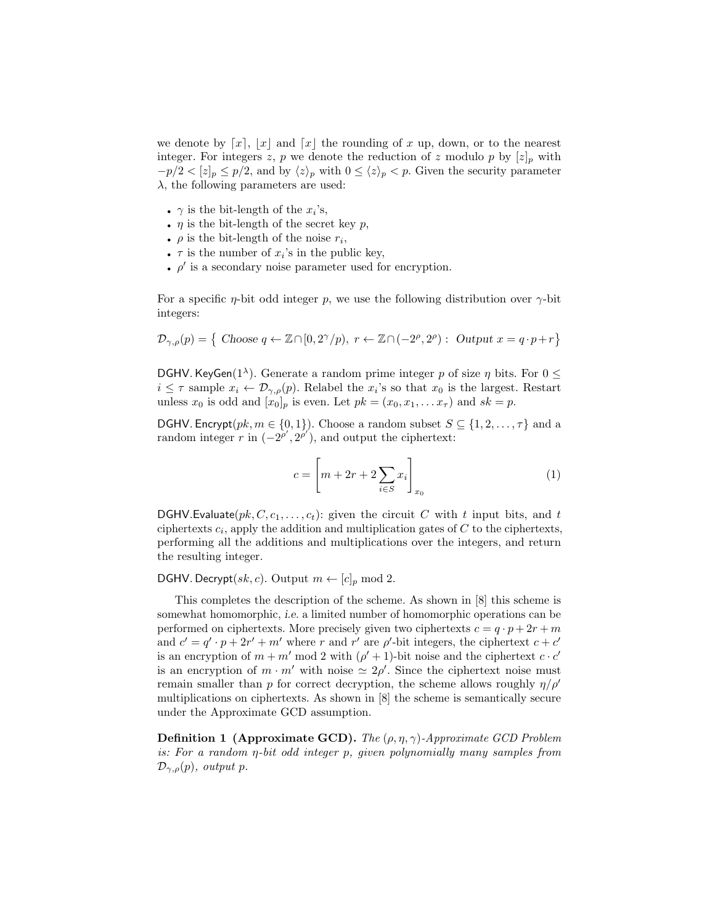we denote by  $x, |x|$  and  $x$  the rounding of x up, down, or to the nearest integer. For integers z, p we denote the reduction of z modulo p by  $[z]_p$  with  $-p/2 < [z]_p \leq p/2$ , and by  $\langle z \rangle_p$  with  $0 \leq \langle z \rangle_p < p$ . Given the security parameter  $\lambda$ , the following parameters are used:

- $\gamma$  is the bit-length of the  $x_i$ 's,
- $\eta$  is the bit-length of the secret key  $p$ ,
- $\rho$  is the bit-length of the noise  $r_i$ ,
- $\tau$  is the number of  $x_i$ 's in the public key,
- $\phi$  is a secondary noise parameter used for encryption.

For a specific  $\eta$ -bit odd integer p, we use the following distribution over  $\gamma$ -bit integers:

$$
\mathcal{D}_{\gamma,\rho}(p) = \{ \text{ Choose } q \leftarrow \mathbb{Z} \cap [0,2^{\gamma}/p), r \leftarrow \mathbb{Z} \cap (-2^{\rho}, 2^{\rho}) : \text{ Output } x = q \cdot p + r \}
$$

DGHV. KeyGen(1<sup> $\lambda$ </sup>). Generate a random prime integer p of size  $\eta$  bits. For  $0 \leq$  $i \leq \tau$  sample  $x_i \leftarrow \mathcal{D}_{\gamma,\rho}(p)$ . Relabel the  $x_i$ 's so that  $x_0$  is the largest. Restart unless  $x_0$  is odd and  $[x_0]_p$  is even. Let  $pk = (x_0, x_1, \ldots, x_\tau)$  and  $sk = p$ .

**DGHV.** Encrypt( $pk, m \in \{0, 1\}$ ). Choose a random subset  $S \subseteq \{1, 2, ..., \tau\}$  and a random integer r in  $(-2^{\rho'}, 2^{\rho'})$ , and output the ciphertext:

$$
c = \left[ m + 2r + 2 \sum_{i \in S} x_i \right]_{x_0} \tag{1}
$$

DGHV.Evaluate( $pk$ ,  $C$ ,  $c_1$ , ...,  $c_t$ ): given the circuit C with t input bits, and t ciphertexts  $c_i$ , apply the addition and multiplication gates of  $C$  to the ciphertexts, performing all the additions and multiplications over the integers, and return the resulting integer.

DGHV. Decrypt $(sk, c)$ . Output  $m \leftarrow [c]_p \mod 2$ .

This completes the description of the scheme. As shown in [8] this scheme is somewhat homomorphic, i.e. a limited number of homomorphic operations can be performed on ciphertexts. More precisely given two ciphertexts  $c = q \cdot p + 2r + m$ and  $c' = q' \cdot p + 2r' + m'$  where r and r' are  $\rho'$ -bit integers, the ciphertext  $c + c'$ is an encryption of  $m + m'$  mod 2 with  $(\rho' + 1)$ -bit noise and the ciphertext  $c \cdot c'$ is an encryption of  $m \cdot m'$  with noise  $\approx 2\rho'$ . Since the ciphertext noise must remain smaller than p for correct decryption, the scheme allows roughly  $\eta/\rho'$ multiplications on ciphertexts. As shown in [8] the scheme is semantically secure under the Approximate GCD assumption.

**Definition 1 (Approximate GCD).** The  $(\rho, \eta, \gamma)$ -Approximate GCD Problem is: For a random η-bit odd integer p, given polynomially many samples from  $\mathcal{D}_{\gamma,\rho}(p)$ , output p.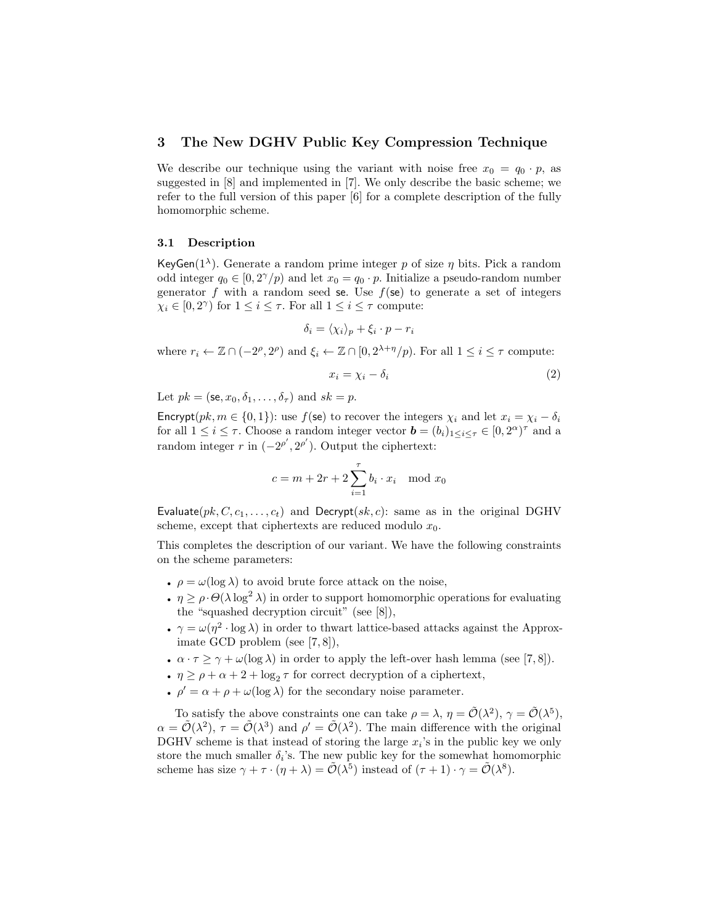### 3 The New DGHV Public Key Compression Technique

We describe our technique using the variant with noise free  $x_0 = q_0 \cdot p$ , as suggested in [8] and implemented in [7]. We only describe the basic scheme; we refer to the full version of this paper [6] for a complete description of the fully homomorphic scheme.

#### 3.1 Description

KeyGen( $1^{\lambda}$ ). Generate a random prime integer p of size  $\eta$  bits. Pick a random odd integer  $q_0 \in [0, 2^{\gamma}/p)$  and let  $x_0 = q_0 \cdot p$ . Initialize a pseudo-random number generator f with a random seed se. Use  $f$ (se) to generate a set of integers  $\chi_i \in [0, 2^{\gamma})$  for  $1 \leq i \leq \tau$ . For all  $1 \leq i \leq \tau$  compute:

$$
\delta_i = \langle \chi_i \rangle_p + \xi_i \cdot p - r_i
$$

where  $r_i \leftarrow \mathbb{Z} \cap (-2^{\rho}, 2^{\rho})$  and  $\xi_i \leftarrow \mathbb{Z} \cap [0, 2^{\lambda + \eta}/p)$ . For all  $1 \leq i \leq \tau$  compute:

$$
x_i = \chi_i - \delta_i \tag{2}
$$

Let  $pk = (\mathsf{se}, x_0, \delta_1, \dots, \delta_\tau)$  and  $sk = p$ .

Encrypt( $pk, m \in \{0, 1\}$ ): use  $f$ (se) to recover the integers  $\chi_i$  and let  $x_i = \chi_i - \delta_i$ for all  $1 \leq i \leq \tau$ . Choose a random integer vector  $\mathbf{b} = (b_i)_{1 \leq i \leq \tau} \in [0, 2^{\alpha})^{\tau}$  and a random integer r in  $(-2^{\rho'}, 2^{\rho'})$ . Output the ciphertext:

$$
c = m + 2r + 2 \sum_{i=1}^{r} b_i \cdot x_i \mod x_0
$$

Evaluate( $pk$ ,  $C$ ,  $c_1$ , ...,  $c_t$ ) and Decrypt( $sk$ ,  $c$ ): same as in the original DGHV scheme, except that ciphertexts are reduced modulo  $x_0$ .

This completes the description of our variant. We have the following constraints on the scheme parameters:

- $\rho = \omega(\log \lambda)$  to avoid brute force attack on the noise,
- $\eta \geq \rho \cdot \Theta(\lambda \log^2 \lambda)$  in order to support homomorphic operations for evaluating the "squashed decryption circuit" (see [8]),
- $\gamma = \omega(\eta^2 \cdot \log \lambda)$  in order to thwart lattice-based attacks against the Approximate GCD problem (see [7, 8]),
- $\alpha \cdot \tau \geq \gamma + \omega(\log \lambda)$  in order to apply the left-over hash lemma (see [7,8]).
- $\eta \ge \rho + \alpha + 2 + \log_2 \tau$  for correct decryption of a ciphertext,
- $\rho' = \alpha + \rho + \omega(\log \lambda)$  for the secondary noise parameter.

To satisfy the above constraints one can take  $\rho = \lambda$ ,  $\eta = \tilde{\mathcal{O}}(\lambda^2)$ ,  $\gamma = \tilde{\mathcal{O}}(\lambda^5)$ ,  $\alpha = \tilde{\mathcal{O}}(\lambda^2)$ ,  $\tau = \tilde{\mathcal{O}}(\lambda^3)$  and  $\rho' = \tilde{\mathcal{O}}(\lambda^2)$ . The main difference with the original DGHV scheme is that instead of storing the large  $x_i$ 's in the public key we only store the much smaller  $\delta_i$ 's. The new public key for the somewhat homomorphic scheme has size  $\gamma + \tau \cdot (\eta + \lambda) = \tilde{\mathcal{O}}(\lambda^5)$  instead of  $(\tau + 1) \cdot \gamma = \tilde{\mathcal{O}}(\lambda^8)$ .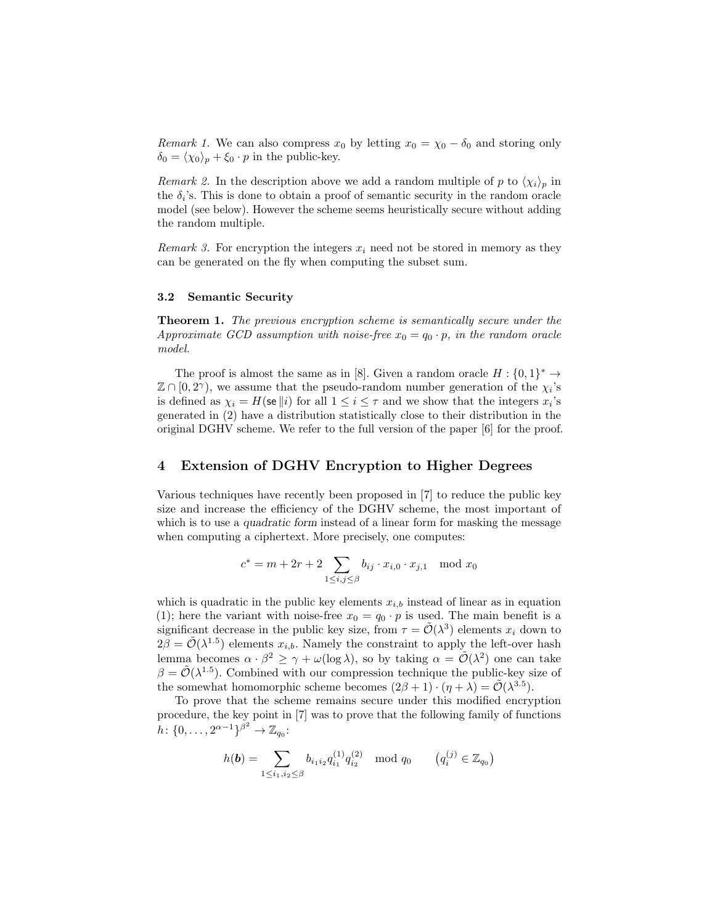*Remark 1.* We can also compress  $x_0$  by letting  $x_0 = \chi_0 - \delta_0$  and storing only  $\delta_0 = \langle \chi_0 \rangle_p + \xi_0 \cdot p$  in the public-key.

*Remark 2.* In the description above we add a random multiple of p to  $\langle \chi_i \rangle_p$  in the  $\delta_i$ 's. This is done to obtain a proof of semantic security in the random oracle model (see below). However the scheme seems heuristically secure without adding the random multiple.

Remark 3. For encryption the integers  $x_i$  need not be stored in memory as they can be generated on the fly when computing the subset sum.

#### 3.2 Semantic Security

Theorem 1. The previous encryption scheme is semantically secure under the Approximate GCD assumption with noise-free  $x_0 = q_0 \cdot p$ , in the random oracle model.

The proof is almost the same as in [8]. Given a random oracle  $H: \{0,1\}^* \to$  $\mathbb{Z} \cap [0, 2^{\gamma})$ , we assume that the pseudo-random number generation of the  $\chi_i$ 's is defined as  $\chi_i = H(\mathbf{se} || i)$  for all  $1 \leq i \leq \tau$  and we show that the integers  $x_i$ 's generated in (2) have a distribution statistically close to their distribution in the original DGHV scheme. We refer to the full version of the paper [6] for the proof.

# 4 Extension of DGHV Encryption to Higher Degrees

Various techniques have recently been proposed in [7] to reduce the public key size and increase the efficiency of the DGHV scheme, the most important of which is to use a *quadratic form* instead of a linear form for masking the message when computing a ciphertext. More precisely, one computes:

$$
c^* = m + 2r + 2 \sum_{1 \le i,j \le \beta} b_{ij} \cdot x_{i,0} \cdot x_{j,1} \mod x_0
$$

which is quadratic in the public key elements  $x_{i,b}$  instead of linear as in equation (1); here the variant with noise-free  $x_0 = q_0 \cdot p$  is used. The main benefit is a significant decrease in the public key size, from  $\tau = \tilde{\mathcal{O}}(\lambda^3)$  elements  $x_i$  down to  $2\tilde{\beta} = \tilde{\mathcal{O}}(\lambda^{1.5})$  elements  $x_{i,b}$ . Namely the constraint to apply the left-over hash lemma becomes  $\alpha \cdot \beta^2 \geq \gamma + \omega(\log \lambda)$ , so by taking  $\alpha = \tilde{\mathcal{O}}(\lambda^2)$  one can take  $\beta = \tilde{\mathcal{O}}(\lambda^{1.5})$ . Combined with our compression technique the public-key size of the somewhat homomorphic scheme becomes  $(2\beta + 1) \cdot (\eta + \lambda) = \tilde{\mathcal{O}}(\lambda^{3.5}).$ 

To prove that the scheme remains secure under this modified encryption procedure, the key point in [7] was to prove that the following family of functions  $h: \{0, \ldots, 2^{\alpha-1}\}^{\beta^2} \to \mathbb{Z}_{q_0}:$ 

$$
h(\mathbf{b}) = \sum_{1 \leq i_1, i_2 \leq \beta} b_{i_1 i_2} q_{i_1}^{(1)} q_{i_2}^{(2)} \mod q_0 \qquad (q_i^{(j)} \in \mathbb{Z}_{q_0})
$$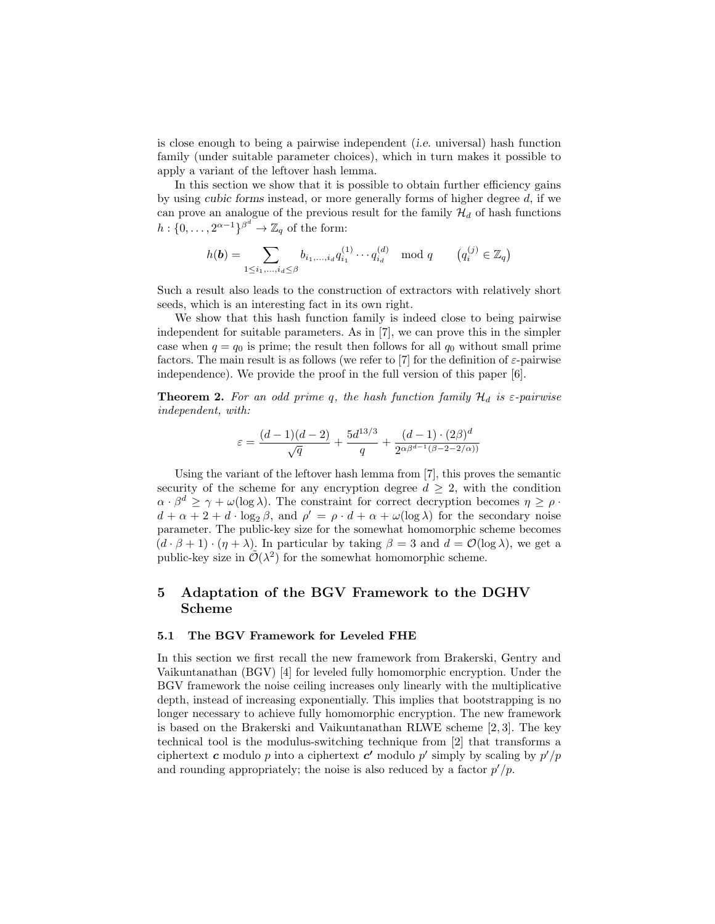is close enough to being a pairwise independent (i.e. universal) hash function family (under suitable parameter choices), which in turn makes it possible to apply a variant of the leftover hash lemma.

In this section we show that it is possible to obtain further efficiency gains by using cubic forms instead, or more generally forms of higher degree  $d$ , if we can prove an analogue of the previous result for the family  $\mathcal{H}_d$  of hash functions  $h: \{0, \ldots, 2^{\alpha-1}\}^{\beta^d} \to \mathbb{Z}_q$  of the form:

$$
h(\boldsymbol{b}) = \sum_{1 \leq i_1, \dots, i_d \leq \beta} b_{i_1, \dots, i_d} q_{i_1}^{(1)} \cdots q_{i_d}^{(d)} \mod q \qquad (q_i^{(j)} \in \mathbb{Z}_q)
$$

Such a result also leads to the construction of extractors with relatively short seeds, which is an interesting fact in its own right.

We show that this hash function family is indeed close to being pairwise independent for suitable parameters. As in [7], we can prove this in the simpler case when  $q = q_0$  is prime; the result then follows for all  $q_0$  without small prime factors. The main result is as follows (we refer to [7] for the definition of  $\varepsilon$ -pairwise independence). We provide the proof in the full version of this paper [6].

**Theorem 2.** For an odd prime q, the hash function family  $\mathcal{H}_d$  is  $\varepsilon$ -pairwise independent, with:

$$
\varepsilon = \frac{(d-1)(d-2)}{\sqrt{q}} + \frac{5d^{13/3}}{q} + \frac{(d-1)\cdot(2\beta)^d}{2^{\alpha\beta^{d-1}(\beta - 2 - 2/\alpha))}}
$$

Using the variant of the leftover hash lemma from [7], this proves the semantic security of the scheme for any encryption degree  $d \geq 2$ , with the condition  $\alpha \cdot \beta^d \geq \gamma + \omega(\log \lambda)$ . The constraint for correct decryption becomes  $\eta \geq \rho$ .  $d + \alpha + 2 + d \cdot \log_2 \beta$ , and  $\rho' = \rho \cdot d + \alpha + \omega(\log \lambda)$  for the secondary noise parameter. The public-key size for the somewhat homomorphic scheme becomes  $(d \cdot \beta + 1) \cdot (\eta + \lambda)$ . In particular by taking  $\beta = 3$  and  $d = \mathcal{O}(\log \lambda)$ , we get a public-key size in  $\tilde{\mathcal{O}}(\lambda^2)$  for the somewhat homomorphic scheme.

# 5 Adaptation of the BGV Framework to the DGHV Scheme

#### 5.1 The BGV Framework for Leveled FHE

In this section we first recall the new framework from Brakerski, Gentry and Vaikuntanathan (BGV) [4] for leveled fully homomorphic encryption. Under the BGV framework the noise ceiling increases only linearly with the multiplicative depth, instead of increasing exponentially. This implies that bootstrapping is no longer necessary to achieve fully homomorphic encryption. The new framework is based on the Brakerski and Vaikuntanathan RLWE scheme [2, 3]. The key technical tool is the modulus-switching technique from [2] that transforms a ciphertext c modulo p into a ciphertext c' modulo p' simply by scaling by  $p'/p$ and rounding appropriately; the noise is also reduced by a factor  $p'/p$ .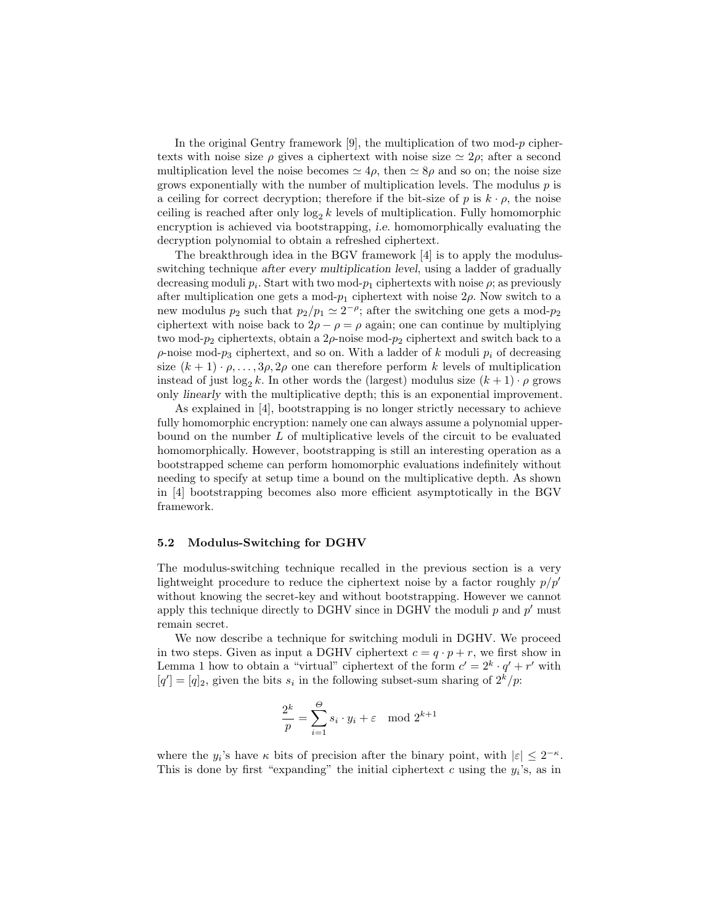In the original Gentry framework  $|9|$ , the multiplication of two mod-p ciphertexts with noise size  $\rho$  gives a ciphertext with noise size  $\simeq 2\rho$ ; after a second multiplication level the noise becomes  $\simeq 4\rho$ , then  $\simeq 8\rho$  and so on; the noise size grows exponentially with the number of multiplication levels. The modulus  $p$  is a ceiling for correct decryption; therefore if the bit-size of p is  $k \cdot \rho$ , the noise ceiling is reached after only  $\log_2 k$  levels of multiplication. Fully homomorphic encryption is achieved via bootstrapping, i.e. homomorphically evaluating the decryption polynomial to obtain a refreshed ciphertext.

The breakthrough idea in the BGV framework [4] is to apply the modulusswitching technique after every multiplication level, using a ladder of gradually decreasing moduli  $p_i$ . Start with two mod- $p_1$  ciphertexts with noise  $\rho$ ; as previously after multiplication one gets a mod- $p_1$  ciphertext with noise  $2\rho$ . Now switch to a new modulus  $p_2$  such that  $p_2/p_1 \simeq 2^{-\rho}$ ; after the switching one gets a mod- $p_2$ ciphertext with noise back to  $2\rho - \rho = \rho$  again; one can continue by multiplying two mod- $p_2$  ciphertexts, obtain a  $2\rho$ -noise mod- $p_2$  ciphertext and switch back to a  $\rho$ -noise mod- $p_3$  ciphertext, and so on. With a ladder of k moduli  $p_i$  of decreasing size  $(k + 1) \cdot \rho, \ldots, 3\rho, 2\rho$  one can therefore perform k levels of multiplication instead of just  $\log_2 k$ . In other words the (largest) modulus size  $(k+1) \cdot \rho$  grows only linearly with the multiplicative depth; this is an exponential improvement.

As explained in [4], bootstrapping is no longer strictly necessary to achieve fully homomorphic encryption: namely one can always assume a polynomial upperbound on the number L of multiplicative levels of the circuit to be evaluated homomorphically. However, bootstrapping is still an interesting operation as a bootstrapped scheme can perform homomorphic evaluations indefinitely without needing to specify at setup time a bound on the multiplicative depth. As shown in [4] bootstrapping becomes also more efficient asymptotically in the BGV framework.

# 5.2 Modulus-Switching for DGHV

The modulus-switching technique recalled in the previous section is a very lightweight procedure to reduce the ciphertext noise by a factor roughly  $p/p'$ without knowing the secret-key and without bootstrapping. However we cannot apply this technique directly to DGHV since in DGHV the moduli  $p$  and  $p'$  must remain secret.

We now describe a technique for switching moduli in DGHV. We proceed in two steps. Given as input a DGHV ciphertext  $c = q \cdot p + r$ , we first show in Lemma 1 how to obtain a "virtual" ciphertext of the form  $c' = 2^k \cdot q' + r'$  with  $[q'] = [q]_2$ , given the bits  $s_i$  in the following subset-sum sharing of  $2^k/p$ .

$$
\frac{2^k}{p} = \sum_{i=1}^{\Theta} s_i \cdot y_i + \varepsilon \mod 2^{k+1}
$$

where the  $y_i$ 's have  $\kappa$  bits of precision after the binary point, with  $|\varepsilon| \leq 2^{-\kappa}$ . This is done by first "expanding" the initial ciphertext c using the  $y_i$ 's, as in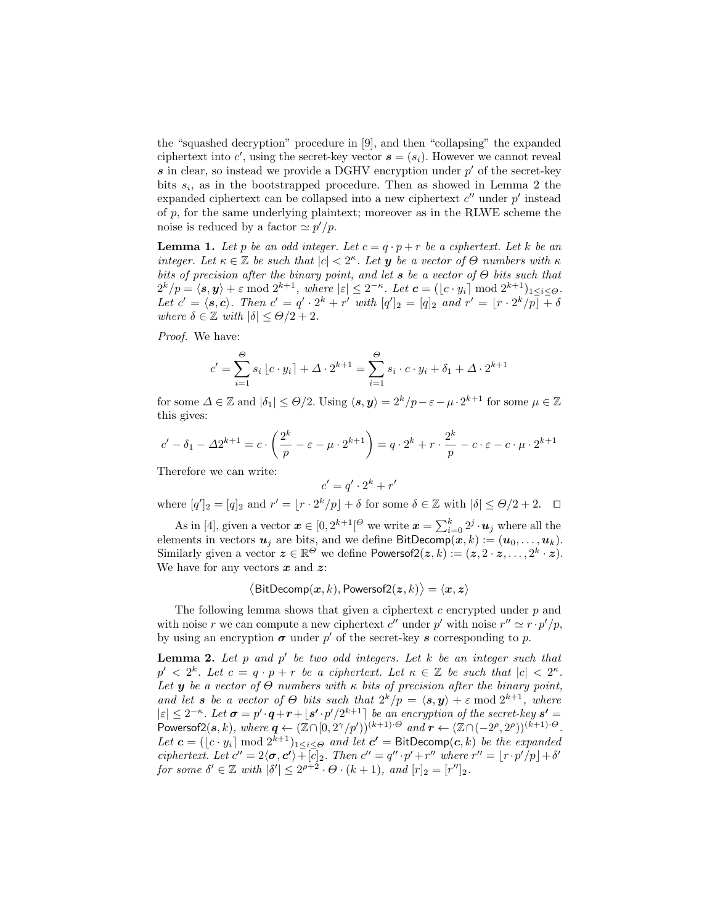the "squashed decryption" procedure in [9], and then "collapsing" the expanded ciphertext into  $c'$ , using the secret-key vector  $s = (s_i)$ . However we cannot reveal  $s$  in clear, so instead we provide a DGHV encryption under  $p'$  of the secret-key bits  $s_i$ , as in the bootstrapped procedure. Then as showed in Lemma 2 the expanded ciphertext can be collapsed into a new ciphertext  $c''$  under  $p'$  instead of  $p$ , for the same underlying plaintext; moreover as in the RLWE scheme the noise is reduced by a factor  $\approx p'/p$ .

**Lemma 1.** Let p be an odd integer. Let  $c = q \cdot p + r$  be a ciphertext. Let k be an integer. Let  $\kappa \in \mathbb{Z}$  be such that  $|c| < 2^{\kappa}$ . Let **y** be a vector of  $\Theta$  numbers with  $\kappa$ bits of precision after the binary point, and let s be a vector of  $\Theta$  bits such that  $2^k/p = \langle s, y \rangle + \varepsilon \bmod 2^{k+1}$ , where  $|\varepsilon| \leq 2^{-\kappa}$ . Let  $\mathbf{c} = (\lfloor c \cdot y_i \rfloor \bmod 2^{k+1})_{1 \leq i \leq \Theta}$ . Let  $c' = \langle s, c \rangle$ . Then  $c' = q' \cdot 2^k + r'$  with  $[q']_2 = [q]_2$  and  $r' = \lfloor r \cdot 2^k/p \rfloor + \delta$ where  $\delta \in \mathbb{Z}$  with  $|\delta| \leq \Theta/2 + 2$ .

Proof. We have:

$$
c' = \sum_{i=1}^{\Theta} s_i \left[ c \cdot y_i \right] + \Delta \cdot 2^{k+1} = \sum_{i=1}^{\Theta} s_i \cdot c \cdot y_i + \delta_1 + \Delta \cdot 2^{k+1}
$$

for some  $\Delta \in \mathbb{Z}$  and  $|\delta_1| \leq \Theta/2$ . Using  $\langle s, y \rangle = 2^k/p - \varepsilon - \mu \cdot 2^{k+1}$  for some  $\mu \in \mathbb{Z}$ this gives:

$$
c' - \delta_1 - \Delta 2^{k+1} = c \cdot \left(\frac{2^k}{p} - \varepsilon - \mu \cdot 2^{k+1}\right) = q \cdot 2^k + r \cdot \frac{2^k}{p} - c \cdot \varepsilon - c \cdot \mu \cdot 2^{k+1}
$$

Therefore we can write:

$$
c' = q' \cdot 2^k + r
$$

 $\prime$ 

where  $[q']_2 = [q]_2$  and  $r' = \lfloor r \cdot 2^k/p \rfloor + \delta$  for some  $\delta \in \mathbb{Z}$  with  $|\delta| \leq \Theta/2 + 2$ .  $\Box$ 

As in [4], given a vector  $\boldsymbol{x} \in [0, 2^{k+1}]^{\Theta}$  we write  $\boldsymbol{x} = \sum_{i=0}^{k} 2^j \cdot \boldsymbol{u}_j$  where all the elements in vectors  $u_j$  are bits, and we define BitDecomp $(x, k) := (\boldsymbol{u}_0, \dots, \boldsymbol{u}_k).$ Similarly given a vector  $\mathbf{z} \in \mathbb{R}^{\Theta}$  we define Powersof $2(\mathbf{z}, k) := (\mathbf{z}, 2 \cdot \mathbf{z}, \dots, 2^k \cdot \mathbf{z}).$ We have for any vectors  $x$  and  $z$ :

$$
\langle \mathsf{BitDecomp}(\bm{x},k), \mathsf{Powersof2}(\bm{z},k) \rangle = \langle \bm{x}, \bm{z} \rangle
$$

The following lemma shows that given a ciphertext  $c$  encrypted under  $p$  and with noise r we can compute a new ciphertext  $c''$  under  $p'$  with noise  $r'' \simeq r \cdot p'/p$ , by using an encryption  $\sigma$  under  $p'$  of the secret-key s corresponding to p.

**Lemma 2.** Let  $p$  and  $p'$  be two odd integers. Let  $k$  be an integer such that  $p' < 2^k$ . Let  $c = q \cdot p + r$  be a ciphertext. Let  $\kappa \in \mathbb{Z}$  be such that  $|c| < 2^{\kappa}$ . Let y be a vector of  $\Theta$  numbers with  $\kappa$  bits of precision after the binary point, and let **s** be a vector of  $\Theta$  bits such that  $2^k/p = \langle s, y \rangle + \varepsilon \mod 2^{k+1}$ , where  $|\varepsilon| \leq 2^{-\kappa}$ . Let  $\sigma = p' \cdot q + r + |s' \cdot p'| 2^{k+1}$  be an encryption of the secret-key  $s' =$ Powersof2(s, k), where  $q \leftarrow (\bar{\mathbb{Z}} \cap [0, 2^{\gamma}/p'))^{(k+1) \cdot \Theta}$  and  $r \leftarrow (\bar{\mathbb{Z}} \cap (-2^{\rho}, 2^{\rho}))^{(k+1) \cdot \Theta}$ . Let  $\boldsymbol{c} = (\lfloor c \cdot y_i \rfloor \bmod 2^{k+1})_{1 \leq i \leq \Theta}$  and let  $\boldsymbol{c'} = \textsf{BitDecomp}(\boldsymbol{c}, k)$  be the expanded ciphertext. Let  $c'' = 2\langle \sigma, c' \rangle + c$ [c]<sub>2</sub>. Then  $c'' = q'' \cdot p' + r''$  where  $r'' = \lfloor r \cdot p'/p \rfloor + \delta'$ for some  $\delta' \in \mathbb{Z}$  with  $|\delta'| \leq 2^{\rho+2} \cdot \Theta \cdot (k+1)$ , and  $[r]_2 = [r'']_2$ .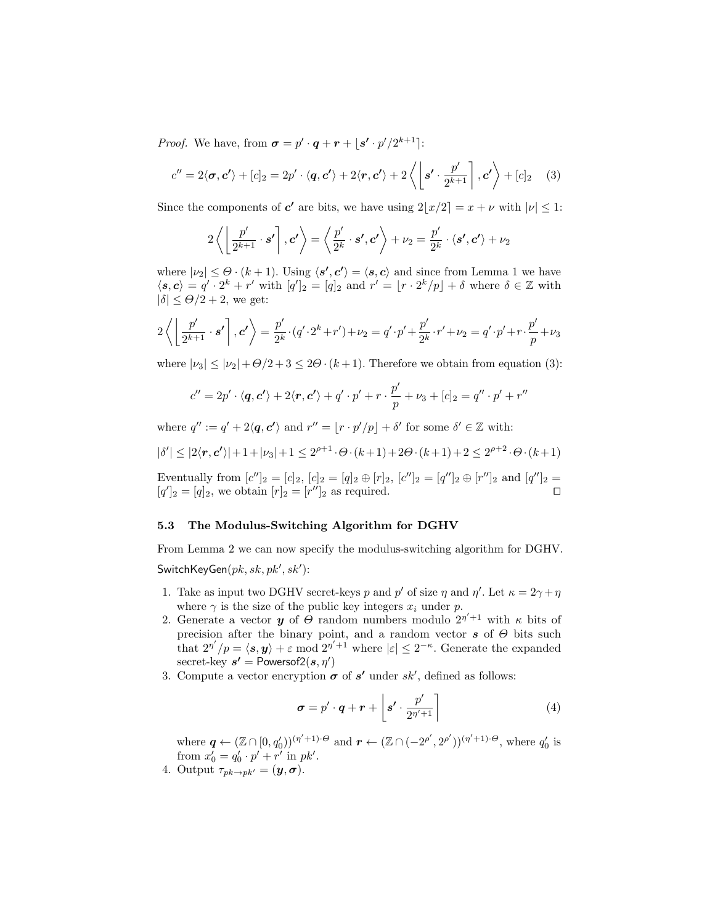*Proof.* We have, from  $\boldsymbol{\sigma} = p' \cdot \boldsymbol{q} + \boldsymbol{r} + \lfloor \boldsymbol{s'} \cdot p'/2^{k+1} \rfloor$ :

$$
c'' = 2\langle \sigma, c' \rangle + [c]_2 = 2p' \cdot \langle q, c' \rangle + 2\langle r, c' \rangle + 2\langle \left[ s' \cdot \frac{p'}{2^{k+1}} \right], c' \rangle + [c]_2 \quad (3)
$$

Since the components of  $c'$  are bits, we have using  $2\lfloor x/2 \rfloor = x + \nu$  with  $|\nu| \leq 1$ :

$$
2\left\langle \left\lfloor \frac{p'}{2^{k+1}} \cdot s' \right\rceil, c' \right\rangle = \left\langle \frac{p'}{2^k} \cdot s', c' \right\rangle + \nu_2 = \frac{p'}{2^k} \cdot \left\langle s', c' \right\rangle + \nu_2
$$

where  $|\nu_2| \leq \Theta \cdot (k+1)$ . Using  $\langle s', c' \rangle = \langle s, c \rangle$  and since from Lemma 1 we have  $\langle s, c \rangle = q' \cdot 2^k + r'$  with  $[q']_2 = [q]_2$  and  $r' = [r \cdot 2^k/p] + \delta$  where  $\delta \in \mathbb{Z}$  with  $|\delta| \leq \Theta/2 + 2$ , we get:

$$
2\left\langle \left\lfloor \frac{p'}{2^{k+1}} \cdot s' \right\rceil, c' \right\rangle = \frac{p'}{2^k} \cdot (q' \cdot 2^k + r') + \nu_2 = q' \cdot p' + \frac{p'}{2^k} \cdot r' + \nu_2 = q' \cdot p' + r \cdot \frac{p'}{p} + \nu_3
$$

where  $|\nu_3| \leq |\nu_2| + \Theta/2 + 3 \leq 2\Theta \cdot (k+1)$ . Therefore we obtain from equation (3):

$$
c'' = 2p' \cdot \langle \mathbf{q}, \mathbf{c'} \rangle + 2\langle \mathbf{r}, \mathbf{c'} \rangle + q' \cdot p' + r \cdot \frac{p'}{p} + \nu_3 + [c]_2 = q'' \cdot p' + r''
$$

where  $q'' := q' + 2\langle \mathbf{q}, \mathbf{c'} \rangle$  and  $r'' = |r \cdot p'/p| + \delta'$  for some  $\delta' \in \mathbb{Z}$  with:

$$
|\delta'| \le |2\langle \mathbf{r}, \mathbf{c'}\rangle| + 1 + |\nu_3| + 1 \le 2^{\rho+1} \cdot \Theta \cdot (k+1) + 2\Theta \cdot (k+1) + 2 \le 2^{\rho+2} \cdot \Theta \cdot (k+1)
$$

Eventually from  $[c'']_2 = [c]_2$ ,  $[c]_2 = [q]_2 \oplus [r]_2$ ,  $[c'']_2 = [q'']_2 \oplus [r'']_2$  and  $[q'']_2 =$  $[q']_2 = [q]_2$ , we obtain  $[r]_2 = [r'']_2$  as required.

#### 5.3 The Modulus-Switching Algorithm for DGHV

From Lemma 2 we can now specify the modulus-switching algorithm for DGHV. SwitchKeyGen $(\mathit{pk}, \mathit{sk}, \mathit{pk}', \mathit{sk}')$ :

- 1. Take as input two DGHV secret-keys p and p' of size  $\eta$  and  $\eta'$ . Let  $\kappa = 2\gamma + \eta$ where  $\gamma$  is the size of the public key integers  $x_i$  under p.
- 2. Generate a vector **y** of  $\Theta$  random numbers modulo  $2^{\eta' + 1}$  with  $\kappa$  bits of precision after the binary point, and a random vector  $s$  of  $\Theta$  bits such that  $2^{\eta'}/p = \langle s, y \rangle + \varepsilon \mod 2^{\eta' + 1}$  where  $|\varepsilon| \leq 2^{-\kappa}$ . Generate the expanded secret-key  $s'$  = Powersof2 $(s, \eta')$
- 3. Compute a vector encryption  $\sigma$  of  $s'$  under  $sk'$ , defined as follows:

$$
\boldsymbol{\sigma} = p' \cdot \boldsymbol{q} + \boldsymbol{r} + \left[ \boldsymbol{s'} \cdot \frac{p'}{2^{\eta'+1}} \right] \tag{4}
$$

where  $q \leftarrow (\mathbb{Z} \cap [0, q'_0))^{(\eta' + 1) \cdot \Theta}$  and  $r \leftarrow (\mathbb{Z} \cap (-2^{\rho'}, 2^{\rho'}))^{(\eta' + 1) \cdot \Theta}$ , where  $q'_0$  is from  $x'_0 = q'_0 \cdot p' + r'$  in  $pk'$ .

4. Output  $\tau_{pk\rightarrow pk'} = (\mathbf{y}, \mathbf{\sigma}).$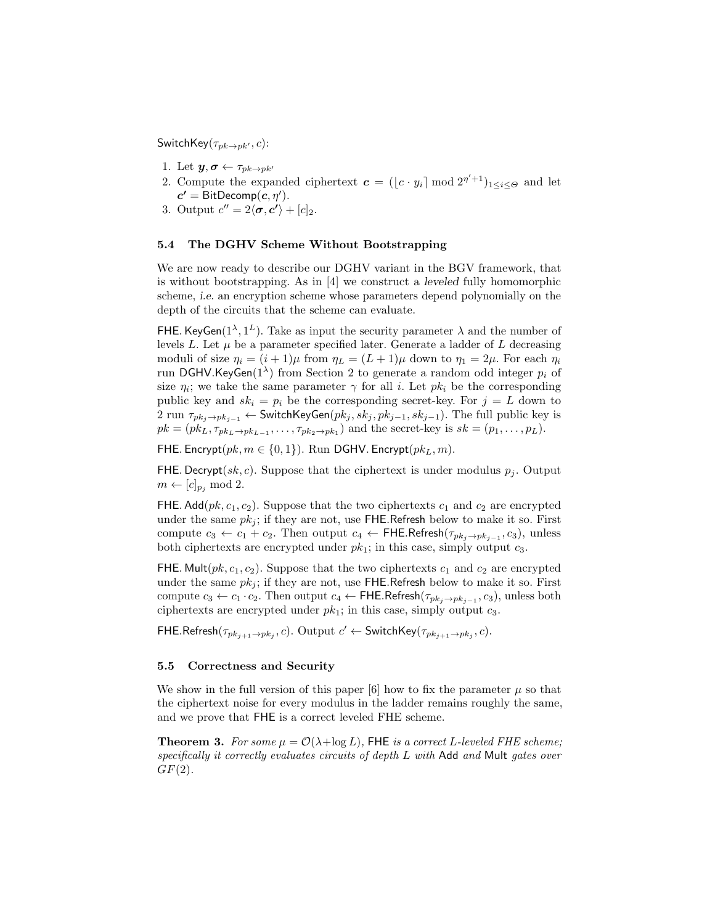SwitchKey( $\tau_{pk\rightarrow pk'}, c$ ):

- 1. Let  $y, \sigma \leftarrow \tau_{pk \rightarrow pk'}$
- 2. Compute the expanded ciphertext  $\mathbf{c} = (\lfloor c \cdot y_i \rfloor \bmod 2^{\eta' + 1})_{1 \leq i \leq \Theta}$  and let  $c' = \text{BitDecomp}(c, \eta').$
- 3. Output  $c'' = 2\langle \sigma, c' \rangle + [c]_2$ .

#### 5.4 The DGHV Scheme Without Bootstrapping

We are now ready to describe our DGHV variant in the BGV framework, that is without bootstrapping. As in [4] we construct a leveled fully homomorphic scheme, i.e. an encryption scheme whose parameters depend polynomially on the depth of the circuits that the scheme can evaluate.

FHE. KeyGen( $1^{\lambda}, 1^{\lambda}$ ). Take as input the security parameter  $\lambda$  and the number of levels  $L$ . Let  $\mu$  be a parameter specified later. Generate a ladder of  $L$  decreasing moduli of size  $\eta_i = (i+1)\mu$  from  $\eta_L = (L+1)\mu$  down to  $\eta_1 = 2\mu$ . For each  $\eta_i$ run DGHV.KeyGen $(1^{\lambda})$  from Section 2 to generate a random odd integer  $p_i$  of size  $\eta_i$ ; we take the same parameter  $\gamma$  for all *i*. Let  $pk_i$  be the corresponding public key and  $sk_i = p_i$  be the corresponding secret-key. For  $j = L$  down to 2 run  $\tau_{pk_j\rightarrow pk_{j-1}}$  ← SwitchKeyGen $(pk_j, sk_j, pk_{j-1}, sk_{j-1})$ . The full public key is  $pk = (pk_L, \tau_{pk_L \to pk_{L-1}}, \ldots, \tau_{pk_2 \to pk_1})$  and the secret-key is  $sk = (p_1, \ldots, p_L)$ .

FHE. Encrypt $(pk, m \in \{0, 1\})$ . Run DGHV. Encrypt $(pk_L, m)$ .

FHE. Decrypt(sk, c). Suppose that the ciphertext is under modulus  $p_i$ . Output  $m \leftarrow [c]_{p_i} \mod 2.$ 

FHE. Add( $pk$ ,  $c_1$ ,  $c_2$ ). Suppose that the two ciphertexts  $c_1$  and  $c_2$  are encrypted under the same  $pk_i$ ; if they are not, use FHE.Refresh below to make it so. First compute  $c_3 \leftarrow c_1 + c_2$ . Then output  $c_4 \leftarrow$  FHE.Refresh( $\tau_{pk_j \rightarrow pk_{j-1}}, c_3$ ), unless both ciphertexts are encrypted under  $pk_1$ ; in this case, simply output  $c_3$ .

FHE. Mult( $pk$ ,  $c_1$ ,  $c_2$ ). Suppose that the two ciphertexts  $c_1$  and  $c_2$  are encrypted under the same  $pk_j$ ; if they are not, use FHE.Refresh below to make it so. First compute  $c_3 \leftarrow c_1 \cdot c_2$ . Then output  $c_4 \leftarrow$  FHE.Refresh $(\tau_{pk_j \rightarrow pk_{j-1}}, c_3)$ , unless both ciphertexts are encrypted under  $pk_1$ ; in this case, simply output  $c_3$ .

FHE.Refresh $(\tau_{pk_{j+1}\rightarrow pk_j}, c)$ . Output  $c' \leftarrow$  SwitchKey $(\tau_{pk_{j+1}\rightarrow pk_j}, c)$ .

#### 5.5 Correctness and Security

We show in the full version of this paper [6] how to fix the parameter  $\mu$  so that the ciphertext noise for every modulus in the ladder remains roughly the same, and we prove that FHE is a correct leveled FHE scheme.

**Theorem 3.** For some  $\mu = \mathcal{O}(\lambda + \log L)$ , FHE is a correct L-leveled FHE scheme; specifically it correctly evaluates circuits of depth L with Add and Mult gates over  $GF(2)$ .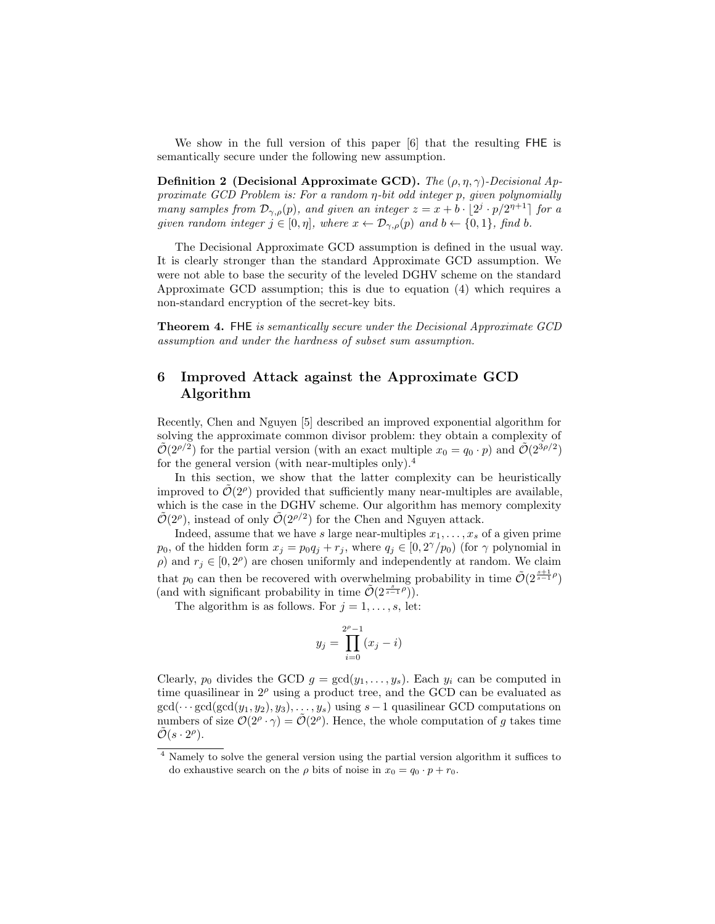We show in the full version of this paper [6] that the resulting FHE is semantically secure under the following new assumption.

**Definition 2** (Decisional Approximate GCD). The  $(\rho, \eta, \gamma)$ -Decisional Approximate GCD Problem is: For a random η-bit odd integer p, given polynomially many samples from  $\mathcal{D}_{\gamma,\rho}(p)$ , and given an integer  $z = x + b \cdot \lfloor 2^j \cdot p/2^{n+1} \rfloor$  for a given random integer  $j \in [0, \eta]$ , where  $x \leftarrow \mathcal{D}_{\gamma, \rho}(p)$  and  $b \leftarrow \{0, 1\}$ , find b.

The Decisional Approximate GCD assumption is defined in the usual way. It is clearly stronger than the standard Approximate GCD assumption. We were not able to base the security of the leveled DGHV scheme on the standard Approximate GCD assumption; this is due to equation (4) which requires a non-standard encryption of the secret-key bits.

Theorem 4. FHE is semantically secure under the Decisional Approximate GCD assumption and under the hardness of subset sum assumption.

# 6 Improved Attack against the Approximate GCD Algorithm

Recently, Chen and Nguyen [5] described an improved exponential algorithm for solving the approximate common divisor problem: they obtain a complexity of  $\tilde{\mathcal{O}}(2^{\rho/2})$  for the partial version (with an exact multiple  $x_0 = q_0 \cdot p$ ) and  $\tilde{\mathcal{O}}(2^{3\rho/2})$ for the general version (with near-multiples only).<sup>4</sup>

In this section, we show that the latter complexity can be heuristically improved to  $\tilde{\mathcal{O}}(2^{\rho})$  provided that sufficiently many near-multiples are available, which is the case in the DGHV scheme. Our algorithm has memory complexity  $\tilde{\mathcal{O}}(2^{\rho})$ , instead of only  $\tilde{\mathcal{O}}(2^{\rho/2})$  for the Chen and Nguyen attack.

Indeed, assume that we have s large near-multiples  $x_1, \ldots, x_s$  of a given prime  $p_0$ , of the hidden form  $x_j = p_0 q_j + r_j$ , where  $q_j \in [0, 2^{\gamma}/p_0)$  (for  $\gamma$  polynomial in  $ρ$ ) and  $r_j \in [0, 2<sup>ρ</sup>)$  are chosen uniformly and independently at random. We claim that  $p_0$  can then be recovered with overwhelming probability in time  $\tilde{\mathcal{O}}(2^{\frac{s+1}{s-1}\rho})$ (and with significant probability in time  $\tilde{\mathcal{O}}(2^{\frac{s}{s-1}\rho})$ ).

The algorithm is as follows. For  $j = 1, \ldots, s$ , let:

$$
y_j = \prod_{i=0}^{2^p - 1} (x_j - i)
$$

Clearly,  $p_0$  divides the GCD  $g = \gcd(y_1, \ldots, y_s)$ . Each  $y_i$  can be computed in time quasilinear in  $2^{\rho}$  using a product tree, and the GCD can be evaluated as  $gcd(\cdots gcd(gcd(y_1, y_2), y_3), \ldots, y_s)$  using  $s-1$  quasilinear GCD computations on numbers of size  $\mathcal{O}(2^{\rho} \cdot \gamma) = \mathcal{O}(2^{\rho})$ . Hence, the whole computation of g takes time  $\tilde{\mathcal{O}}(s \cdot 2^{\rho}).$ 

<sup>4</sup> Namely to solve the general version using the partial version algorithm it suffices to do exhaustive search on the  $\rho$  bits of noise in  $x_0 = q_0 \cdot p + r_0$ .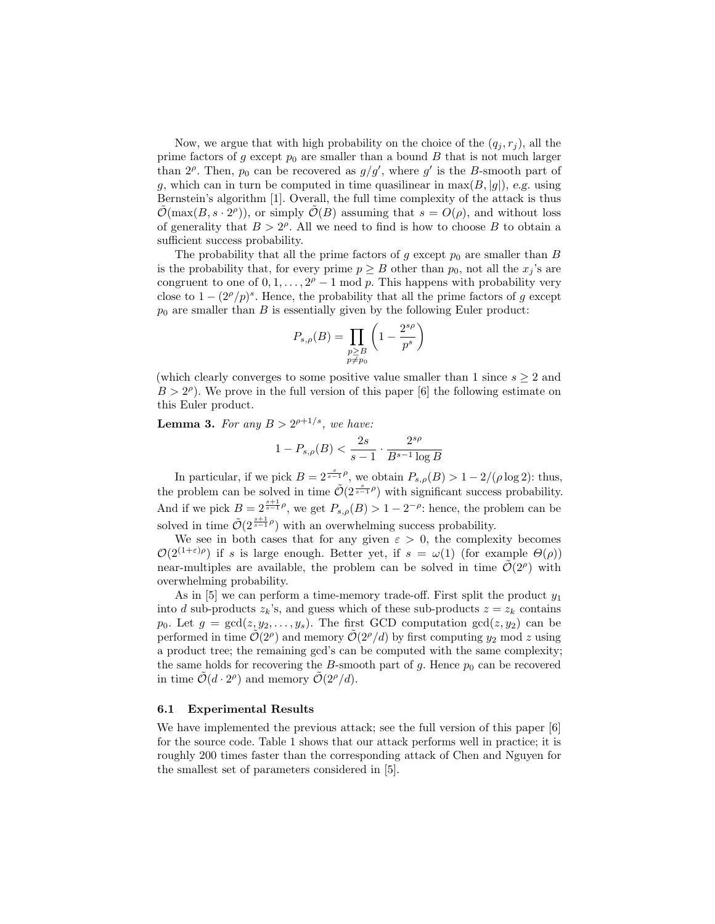Now, we argue that with high probability on the choice of the  $(q_i, r_j)$ , all the prime factors of g except  $p_0$  are smaller than a bound B that is not much larger than  $2^{\rho}$ . Then,  $p_0$  can be recovered as  $g/g'$ , where g' is the B-smooth part of g, which can in turn be computed in time quasilinear in  $max(B, |g|)$ , e.g. using Bernstein's algorithm [1]. Overall, the full time complexity of the attack is thus  $\tilde{\mathcal{O}}(\max(B, s \cdot 2^{\rho}))$ , or simply  $\tilde{\mathcal{O}}(B)$  assuming that  $s = O(\rho)$ , and without loss of generality that  $B > 2^{\rho}$ . All we need to find is how to choose B to obtain a sufficient success probability.

The probability that all the prime factors of g except  $p_0$  are smaller than B is the probability that, for every prime  $p \geq B$  other than  $p_0$ , not all the  $x_j$ 's are congruent to one of  $0, 1, \ldots, 2^{\rho} - 1$  mod p. This happens with probability very close to  $1 - (2^{\rho}/p)^s$ . Hence, the probability that all the prime factors of g except  $p_0$  are smaller than B is essentially given by the following Euler product:

$$
P_{s,\rho}(B) = \prod_{\substack{p \ge B \\ p \ne p_0}} \left(1 - \frac{2^{s\rho}}{p^s}\right)
$$

(which clearly converges to some positive value smaller than 1 since  $s \geq 2$  and  $B > 2^{\rho}$ ). We prove in the full version of this paper [6] the following estimate on this Euler product.

**Lemma 3.** For any  $B > 2^{\rho+1/s}$ , we have:

$$
1-P_{s,\rho}(B)<\frac{2s}{s-1}\cdot\frac{2^{s\rho}}{B^{s-1}\log B}
$$

In particular, if we pick  $B = 2^{\frac{s}{s-1}\rho}$ , we obtain  $P_{s,\rho}(B) > 1 - 2/(\rho \log 2)$ : thus, the problem can be solved in time  $\tilde{\mathcal{O}}(2^{\frac{s}{s-1}\rho})$  with significant success probability. And if we pick  $B = 2^{\frac{s+1}{s-1}\rho}$ , we get  $P_{s,\rho}(B) > 1 - 2^{-\rho}$ : hence, the problem can be solved in time  $\tilde{\mathcal{O}}(2^{\frac{s+1}{s-1}\rho})$  with an overwhelming success probability.

We see in both cases that for any given  $\varepsilon > 0$ , the complexity becomes  $\mathcal{O}(2^{(1+\varepsilon)\rho})$  if s is large enough. Better yet, if  $s = \omega(1)$  (for example  $\Theta(\rho)$ ) near-multiples are available, the problem can be solved in time  $\tilde{\mathcal{O}}(2^{\rho})$  with overwhelming probability.

As in  $[5]$  we can perform a time-memory trade-off. First split the product  $y_1$ into d sub-products  $z_k$ 's, and guess which of these sub-products  $z = z_k$  contains  $p_0$ . Let  $g = \gcd(z, y_2, \ldots, y_s)$ . The first GCD computation  $\gcd(z, y_2)$  can be performed in time  $\tilde{\mathcal{O}}(2^{\rho})$  and memory  $\tilde{\mathcal{O}}(2^{\rho}/d)$  by first computing  $y_2$  mod z using a product tree; the remaining gcd's can be computed with the same complexity; the same holds for recovering the B-smooth part of  $g$ . Hence  $p_0$  can be recovered in time  $\tilde{\mathcal{O}}(d \cdot 2^{\rho})$  and memory  $\tilde{\mathcal{O}}(2^{\rho}/d)$ .

#### 6.1 Experimental Results

We have implemented the previous attack; see the full version of this paper [6] for the source code. Table 1 shows that our attack performs well in practice; it is roughly 200 times faster than the corresponding attack of Chen and Nguyen for the smallest set of parameters considered in [5].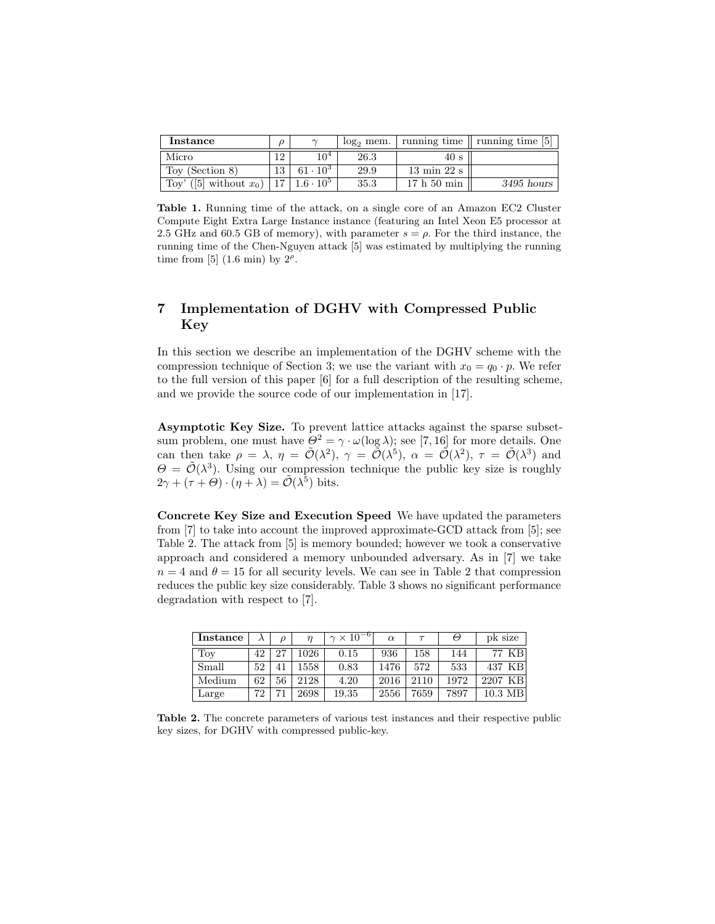| Instance                  |    | $\sim$                     |      |                                | $log_2$ mem.   running time    running time [5] |
|---------------------------|----|----------------------------|------|--------------------------------|-------------------------------------------------|
| Micro                     |    | 10 <sup>4</sup>            | 26.3 | 40 s                           |                                                 |
| Toy (Section 8)           | 13 | $61 \cdot 10^3$            | 29.9 | $13 \text{ min } 22 \text{ s}$ |                                                 |
| Toy' ([5] without $x_0$ ) |    | $17 \mid 1.6 \cdot 10^{5}$ | 35.3 | $17h50 \text{ min}$            | $3495$ hours                                    |

Table 1. Running time of the attack, on a single core of an Amazon EC2 Cluster Compute Eight Extra Large Instance instance (featuring an Intel Xeon E5 processor at 2.5 GHz and 60.5 GB of memory), with parameter  $s = \rho$ . For the third instance, the running time of the Chen-Nguyen attack [5] was estimated by multiplying the running time from [5]  $(1.6 \text{ min})$  by  $2^{\rho}$ .

# 7 Implementation of DGHV with Compressed Public Key

In this section we describe an implementation of the DGHV scheme with the compression technique of Section 3; we use the variant with  $x_0 = q_0 \cdot p$ . We refer to the full version of this paper [6] for a full description of the resulting scheme, and we provide the source code of our implementation in [17].

Asymptotic Key Size. To prevent lattice attacks against the sparse subsetsum problem, one must have  $\Theta^2 = \gamma \cdot \omega(\log \lambda)$ ; see [7, 16] for more details. One can then take  $\rho = \lambda$ ,  $\eta = \tilde{\mathcal{O}}(\lambda^2)$ ,  $\gamma = \tilde{\mathcal{O}}(\lambda^5)$ ,  $\alpha = \tilde{\mathcal{O}}(\lambda^2)$ ,  $\tau = \tilde{\mathcal{O}}(\lambda^3)$  and  $\Theta = \tilde{\mathcal{O}}(\lambda^3)$ . Using our compression technique the public key size is roughly  $2\gamma + (\tau + \Theta) \cdot (\eta + \lambda) = \tilde{\mathcal{O}}(\lambda^5)$  bits.

Concrete Key Size and Execution Speed We have updated the parameters from [7] to take into account the improved approximate-GCD attack from [5]; see Table 2. The attack from [5] is memory bounded; however we took a conservative approach and considered a memory unbounded adversary. As in [7] we take  $n = 4$  and  $\theta = 15$  for all security levels. We can see in Table 2 that compression reduces the public key size considerably. Table 3 shows no significant performance degradation with respect to [7].

| Instance |    | $\Omega$ | $\eta$ | $\gamma \times 10^{-1}$ | $\alpha$ |      | Θ    | pk size           |
|----------|----|----------|--------|-------------------------|----------|------|------|-------------------|
| Toy      | 42 | 27       | 1026   | 0.15                    | 936      | 158  | 144  | 77 KB             |
| Small    | 52 |          | 1558   | 0.83                    | 1476     | 572  | 533  | 437 KB            |
| Medium   | 62 | 56       | 2128   | 4.20                    | 2016     | 2110 | 1972 | 2207 KB           |
| Large    | 72 | −1       | 2698   | 19.35                   | 2556     | 7659 | 7897 | $10.3 \text{ MB}$ |

Table 2. The concrete parameters of various test instances and their respective public key sizes, for DGHV with compressed public-key.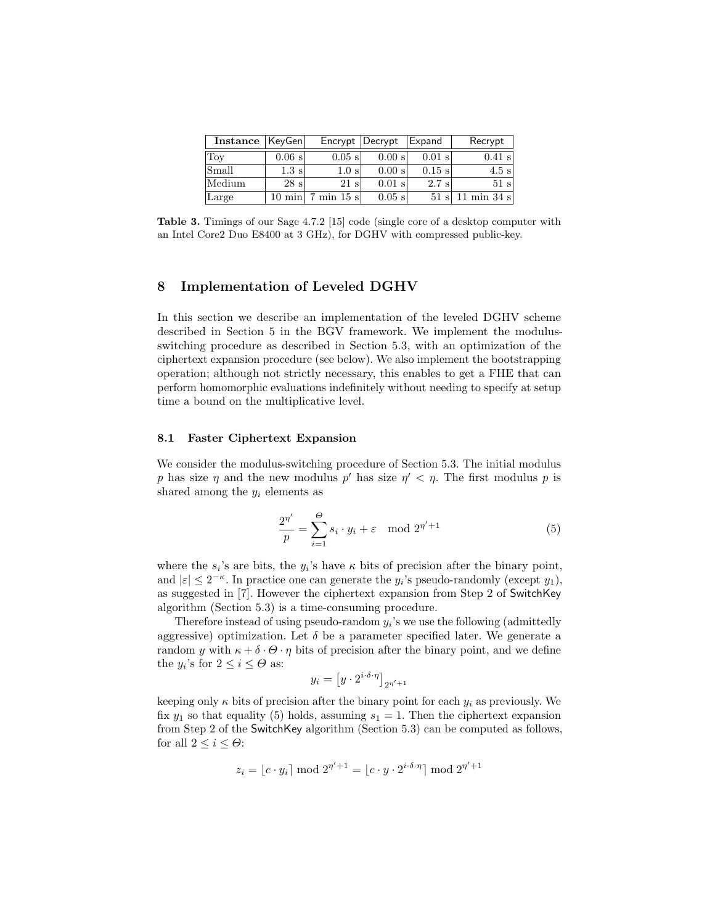| Instance   KeyGen |                  |                                       | Encrypt Decrypt | Expand           | Recrypt                      |
|-------------------|------------------|---------------------------------------|-----------------|------------------|------------------------------|
| Toy               | $0.06$ s         | $0.05$ s                              | $0.00$ s        | $0.01$ s         | $0.41$ s                     |
| Small             | $1.3 \mathrm{s}$ | 1.0 s                                 | $0.00$ s        | $0.15$ s         | $4.5$ s                      |
| Medium            | 28 s             | $21 \mathrm{s}$                       | $0.01$ s        | $2.7 \mathrm{s}$ | $51 \mathrm{s}$              |
| Large             |                  | $10 \text{ min}$ 7 min $15 \text{ s}$ | $0.05$ s        |                  | $51 \text{ s}$   11 min 34 s |

Table 3. Timings of our Sage 4.7.2 [15] code (single core of a desktop computer with an Intel Core2 Duo E8400 at 3 GHz), for DGHV with compressed public-key.

# 8 Implementation of Leveled DGHV

In this section we describe an implementation of the leveled DGHV scheme described in Section 5 in the BGV framework. We implement the modulusswitching procedure as described in Section 5.3, with an optimization of the ciphertext expansion procedure (see below). We also implement the bootstrapping operation; although not strictly necessary, this enables to get a FHE that can perform homomorphic evaluations indefinitely without needing to specify at setup time a bound on the multiplicative level.

#### 8.1 Faster Ciphertext Expansion

We consider the modulus-switching procedure of Section 5.3. The initial modulus p has size  $\eta$  and the new modulus p' has size  $\eta' < \eta$ . The first modulus p is shared among the  $y_i$  elements as

$$
\frac{2^{\eta'}}{p} = \sum_{i=1}^{\Theta} s_i \cdot y_i + \varepsilon \mod 2^{\eta' + 1}
$$
 (5)

where the  $s_i$ 's are bits, the  $y_i$ 's have  $\kappa$  bits of precision after the binary point, and  $|\varepsilon| \leq 2^{-\kappa}$ . In practice one can generate the  $y_i$ 's pseudo-randomly (except  $y_1$ ), as suggested in [7]. However the ciphertext expansion from Step 2 of SwitchKey algorithm (Section 5.3) is a time-consuming procedure.

Therefore instead of using pseudo-random  $y_i$ 's we use the following (admittedly aggressive) optimization. Let  $\delta$  be a parameter specified later. We generate a random y with  $\kappa + \delta \cdot \Theta \cdot \eta$  bits of precision after the binary point, and we define the  $y_i$ 's for  $2 \leq i \leq \Theta$  as:

$$
y_i = \left[ y \cdot 2^{i \cdot \delta \cdot \eta} \right]_{2^{\eta'} + 1}
$$

keeping only  $\kappa$  bits of precision after the binary point for each  $y_i$  as previously. We fix  $y_1$  so that equality (5) holds, assuming  $s_1 = 1$ . Then the ciphertext expansion from Step 2 of the SwitchKey algorithm (Section 5.3) can be computed as follows, for all  $2 \leq i \leq \Theta$ :

$$
z_i = \lfloor c \cdot y_i \rceil \bmod 2^{\eta' + 1} = \lfloor c \cdot y \cdot 2^{i \cdot \delta \cdot \eta} \rceil \bmod 2^{\eta' + 1}
$$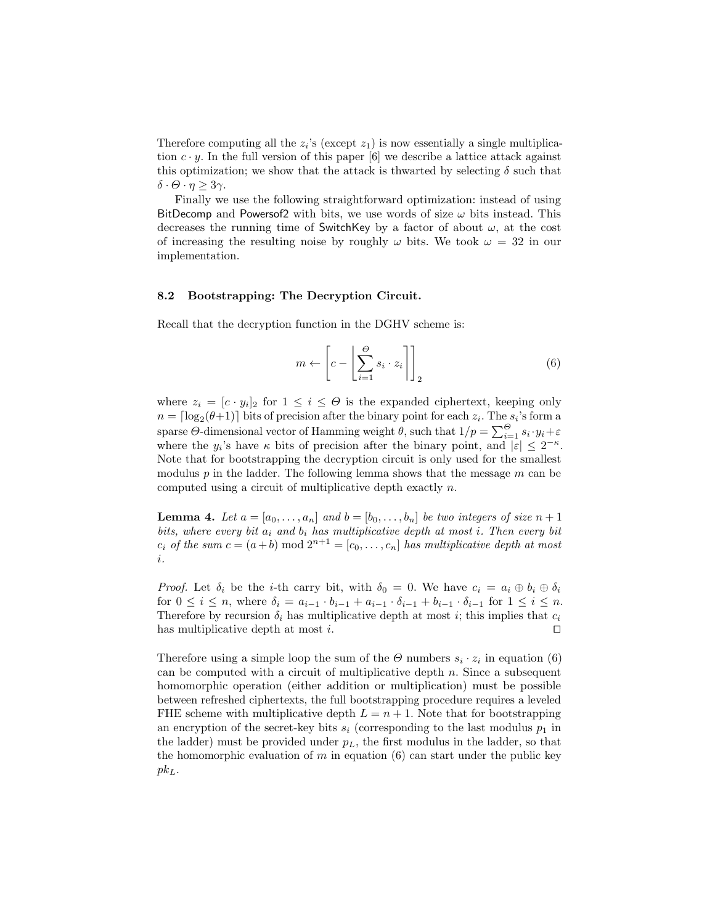Therefore computing all the  $z_i$ 's (except  $z_1$ ) is now essentially a single multiplication  $c \cdot y$ . In the full version of this paper [6] we describe a lattice attack against this optimization; we show that the attack is thwarted by selecting  $\delta$  such that δ · Θ · η ≥ 3γ.

Finally we use the following straightforward optimization: instead of using BitDecomp and Powersof2 with bits, we use words of size  $\omega$  bits instead. This decreases the running time of SwitchKey by a factor of about  $\omega$ , at the cost of increasing the resulting noise by roughly  $\omega$  bits. We took  $\omega = 32$  in our implementation.

#### 8.2 Bootstrapping: The Decryption Circuit.

Recall that the decryption function in the DGHV scheme is:

$$
m \leftarrow \left[c - \left\lfloor \sum_{i=1}^{\Theta} s_i \cdot z_i \right\rceil \right]_2 \tag{6}
$$

where  $z_i = [c \cdot y_i]_2$  for  $1 \leq i \leq \Theta$  is the expanded ciphertext, keeping only  $n = \lceil \log_2(\theta + 1) \rceil$  bits of precision after the binary point for each  $z_i$ . The  $s_i$ 's form a sparse  $\Theta$ -dimensional vector of Hamming weight  $\theta$ , such that  $1/p = \sum_{i=1}^{\Theta} s_i \cdot y_i + \varepsilon$ where the  $y_i$ 's have  $\kappa$  bits of precision after the binary point, and  $|\varepsilon| \leq 2^{-\kappa}$ . Note that for bootstrapping the decryption circuit is only used for the smallest modulus  $p$  in the ladder. The following lemma shows that the message  $m$  can be computed using a circuit of multiplicative depth exactly n.

**Lemma 4.** Let  $a = [a_0, \ldots, a_n]$  and  $b = [b_0, \ldots, b_n]$  be two integers of size  $n + 1$ bits, where every bit  $a_i$  and  $b_i$  has multiplicative depth at most i. Then every bit  $c_i$  of the sum  $c = (a + b) \mod 2^{n+1} = [c_0, \ldots, c_n]$  has multiplicative depth at most i.

*Proof.* Let  $\delta_i$  be the *i*-th carry bit, with  $\delta_0 = 0$ . We have  $c_i = a_i \oplus b_i \oplus \delta_i$ for  $0 \le i \le n$ , where  $\delta_i = a_{i-1} \cdot b_{i-1} + a_{i-1} \cdot \delta_{i-1} + b_{i-1} \cdot \delta_{i-1}$  for  $1 \le i \le n$ . Therefore by recursion  $\delta_i$  has multiplicative depth at most i; this implies that  $c_i$ has multiplicative depth at most  $i$ .

Therefore using a simple loop the sum of the  $\Theta$  numbers  $s_i \cdot z_i$  in equation (6) can be computed with a circuit of multiplicative depth  $n$ . Since a subsequent homomorphic operation (either addition or multiplication) must be possible between refreshed ciphertexts, the full bootstrapping procedure requires a leveled FHE scheme with multiplicative depth  $L = n + 1$ . Note that for bootstrapping an encryption of the secret-key bits  $s_i$  (corresponding to the last modulus  $p_1$  in the ladder) must be provided under  $p<sub>L</sub>$ , the first modulus in the ladder, so that the homomorphic evaluation of  $m$  in equation (6) can start under the public key  $pk<sub>L</sub>$ .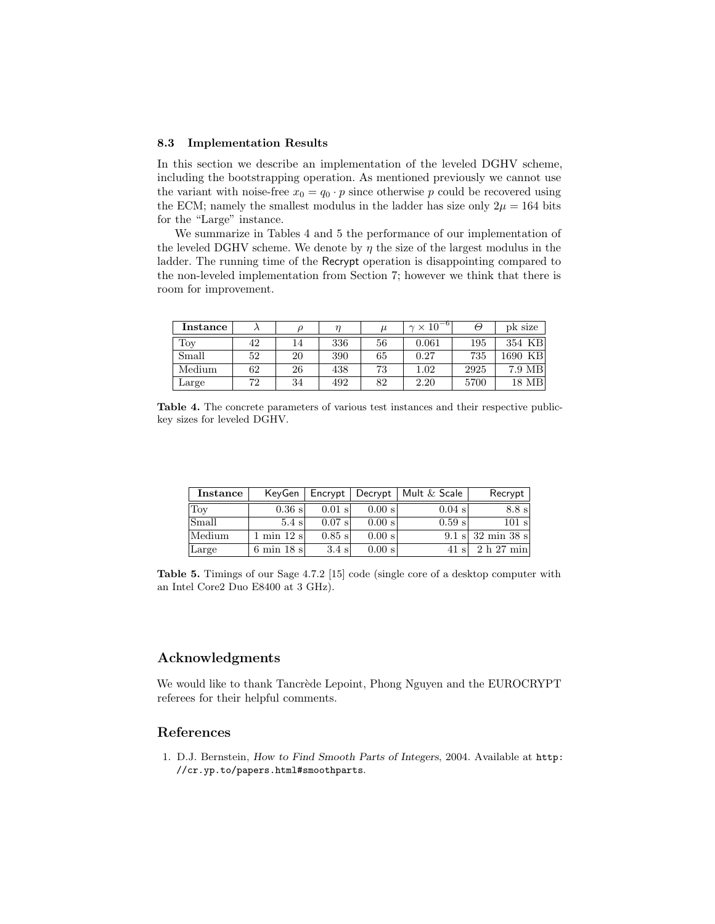#### 8.3 Implementation Results

In this section we describe an implementation of the leveled DGHV scheme, including the bootstrapping operation. As mentioned previously we cannot use the variant with noise-free  $x_0 = q_0 \cdot p$  since otherwise p could be recovered using the ECM; namely the smallest modulus in the ladder has size only  $2\mu = 164$  bits for the "Large" instance.

We summarize in Tables 4 and 5 the performance of our implementation of the leveled DGHV scheme. We denote by  $\eta$  the size of the largest modulus in the ladder. The running time of the Recrypt operation is disappointing compared to the non-leveled implementation from Section 7; however we think that there is room for improvement.

| Instance |    |    | η   | $\mu$ | $\times 10^{-6}$<br>$\sim$ |      | pk size         |
|----------|----|----|-----|-------|----------------------------|------|-----------------|
| Toy      | 42 | 14 | 336 | 56    | 0.061                      | 195  | 354 KB          |
| Small    | 52 | 20 | 390 | 65    | 0.27                       | 735  | 1690 KB         |
| Medium   | 62 | 26 | 438 | 73    | $1.02\,$                   | 2925 | 7.9 MB          |
| Large    | 72 | 34 | 492 | 82    | 2.20                       | 5700 | $18 \text{ MB}$ |

Table 4. The concrete parameters of various test instances and their respective publickey sizes for leveled DGHV.

| Instance             | KevGen                        |          |          | Encrypt   Decrypt   Mult $\&$ Scale | Recrypt                     |
|----------------------|-------------------------------|----------|----------|-------------------------------------|-----------------------------|
| $\operatorname{Tov}$ | $0.36$ s                      | $0.01$ s | $0.00$ s | $0.04$ s                            | 8.8 s                       |
| Small                | $5.4 \mathrm{s}$              | $0.07$ s | 0.00 s   | $0.59$ s                            | 101 s                       |
| Medium               | 1 min 12 sl                   | $0.85$ s | $0.00$ s |                                     | $9.1 \text{ s}$ 32 min 38 s |
| Large                | $6 \text{ min } 18 \text{ s}$ | 3.4 s    | 0.00 s   | $41 \mathrm{s}$                     | 2 h 27 min                  |

Table 5. Timings of our Sage 4.7.2 [15] code (single core of a desktop computer with an Intel Core2 Duo E8400 at 3 GHz).

# Acknowledgments

We would like to thank Tancrède Lepoint, Phong Nguyen and the EUROCRYPT referees for their helpful comments.

### References

1. D.J. Bernstein, How to Find Smooth Parts of Integers, 2004. Available at http: //cr.yp.to/papers.html#smoothparts.